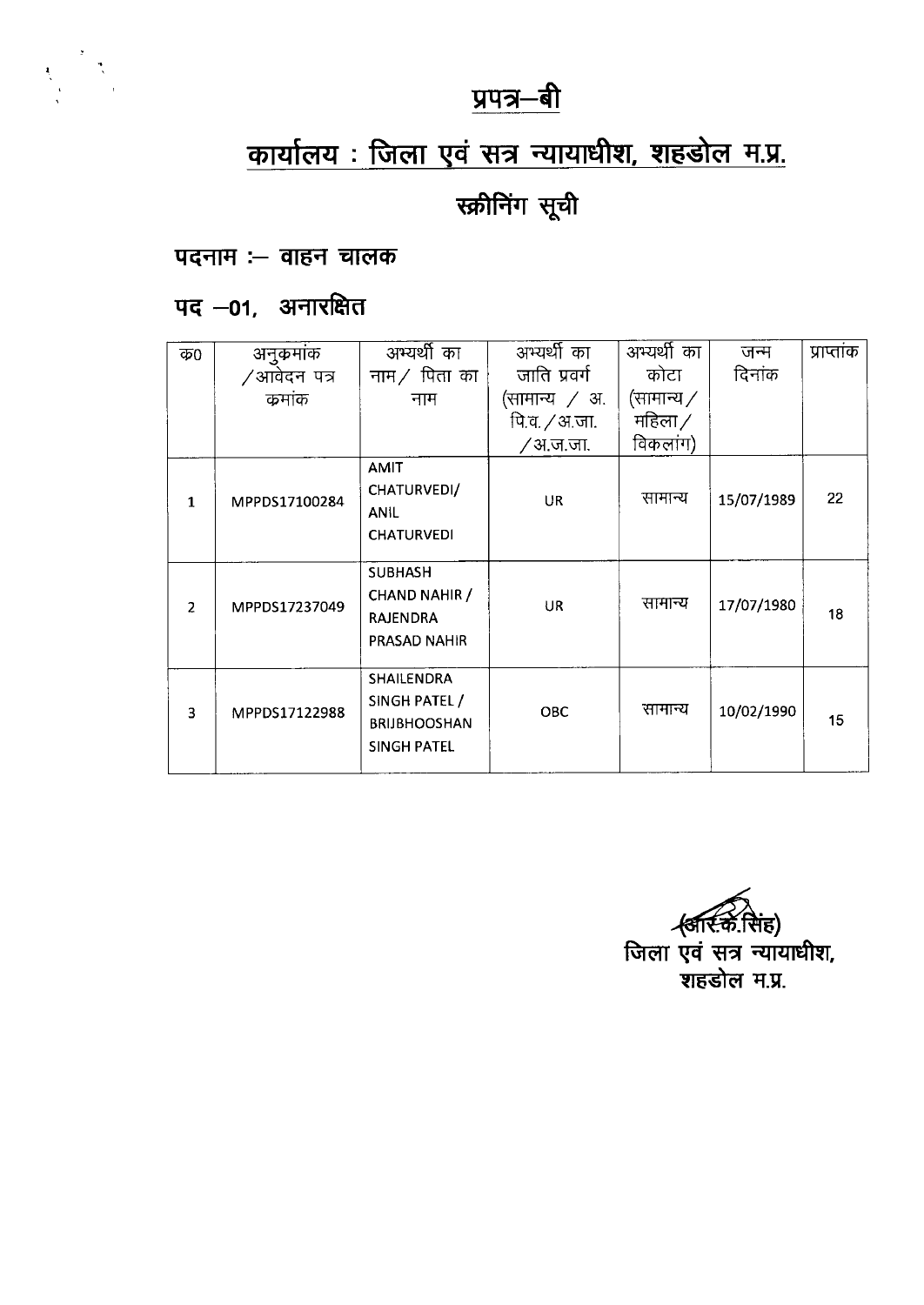#### प्रपत्र-बी

# कार्यालय: जिला एवं सत्र न्यायाधीश, शहडोल म.प्र.

#### स्क्रीनिंग सूची

#### पदनाम :- वाहन चालक

#### पद -01, अनारक्षित

 $\begin{array}{c} \frac{1}{2} & \frac{1}{2} \\ \frac{1}{2} & \frac{1}{2} \\ \frac{1}{2} & \frac{1}{2} \end{array}$ 

| क0             | अनुकर्माक     | अभ्यर्थी का                                                                     | अभ्यर्थी का          | अभ्यर्थी का       | जन्म       | प्राप्तांक |
|----------------|---------------|---------------------------------------------------------------------------------|----------------------|-------------------|------------|------------|
|                | ∕आवेदन पत्र   | नाम $/$ पिता का                                                                 | जाति प्रवर्ग         | कोटा              | दिनांक     |            |
|                | कमांक         | नाम                                                                             | (सामान्य / अ.        | (सामान्य $\angle$ |            |            |
|                |               |                                                                                 | पि.व. $\angle$ अ.जा. | महिला $/$         |            |            |
|                |               |                                                                                 | ∕ अ.ज.जा.            | विकलांग)          |            |            |
| $\mathbf{1}$   | MPPDS17100284 | <b>AMIT</b><br>CHATURVEDI/<br>ANIL<br><b>CHATURVEDI</b>                         | <b>UR</b>            | सामान्य           | 15/07/1989 | 22         |
| $\overline{2}$ | MPPDS17237049 | <b>SUBHASH</b><br>CHAND NAHIR /<br><b>RAJENDRA</b><br>PRASAD NAHIR              | UR.                  | सामान्य           | 17/07/1980 | 18         |
| $\overline{3}$ | MPPDS17122988 | <b>SHAILENDRA</b><br>SINGH PATEL /<br><b>BRIJBHOOSHAN</b><br><b>SINGH PATEL</b> | <b>OBC</b>           | सामान्य           | 10/02/1990 | 15         |
|                |               |                                                                                 |                      |                   |            |            |

- (ऑर्स्कॅ.सिंह)<br>जिला एवं सत्र न्यायाधीश, .<br>शहडोल म.प्र.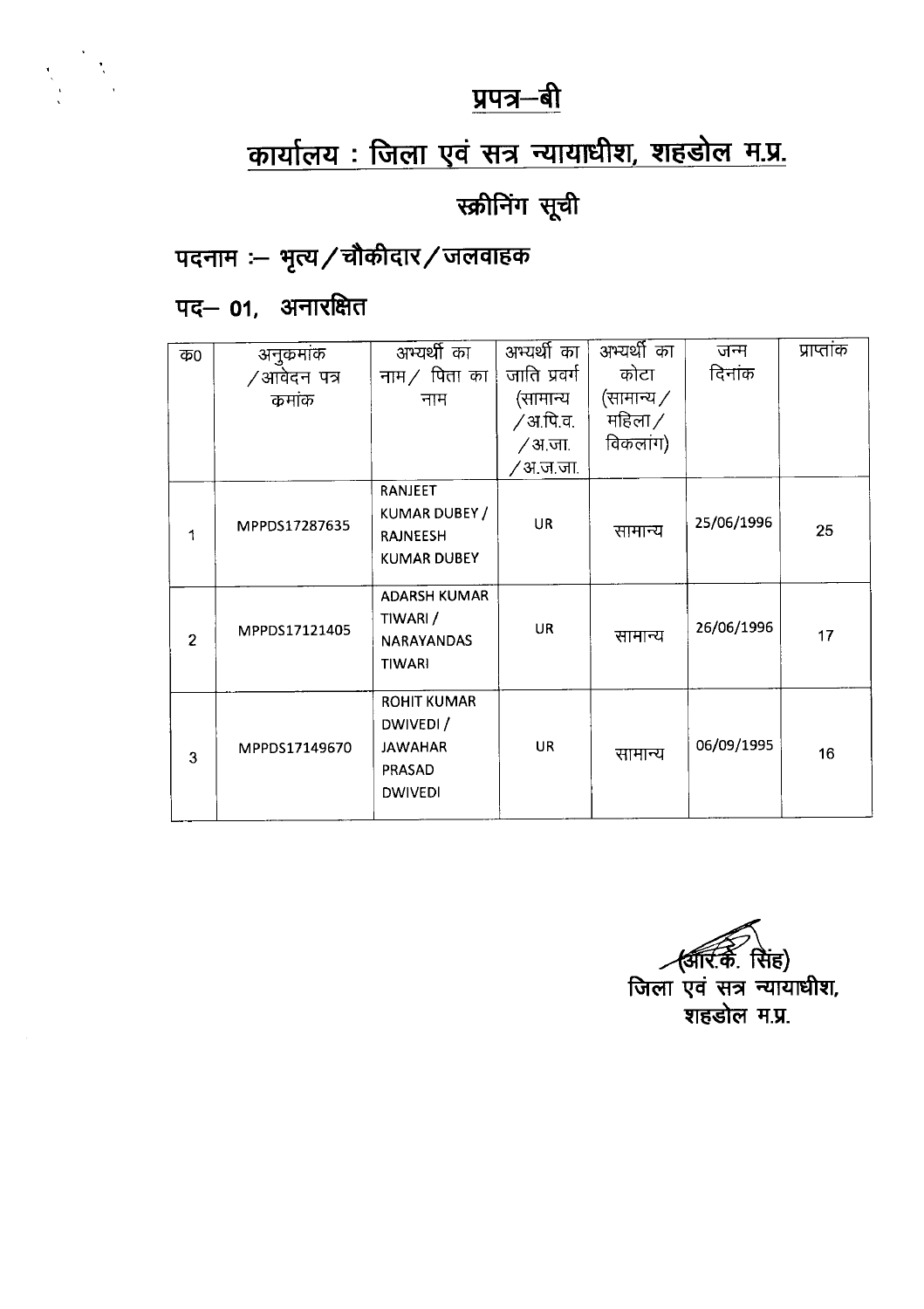## कार्यालय : जिला एवं सत्र न्यायाधीश, शहडोल म.प्र.

#### स्क्रीनिंग सूची

#### पदनाम :– भृत्य / चौकीदार / जलवाहक

### पद- 01, अनारक्षित

 $\frac{1}{\sqrt{2}}$ 

| क0             | अनुक्रमांक    | अभ्यर्थी का          | अभ्यर्थी का  | अभ्यर्थी का | जन्म       | प्राप्तांक |
|----------------|---------------|----------------------|--------------|-------------|------------|------------|
|                | ∕आवेदन पत्र   | नाम / पिता का $\mid$ | जाति प्रवर्ग | कोटा        | दिनांक     |            |
|                | कमांक         | नाम                  | (सामान्य     | (सामान्य /  |            |            |
|                |               |                      | /अ.पि.व.     | महिला $/$   |            |            |
|                |               |                      | /अ.जा.       | विकलांग)    |            |            |
|                |               |                      | अ.ज.जा.      |             |            |            |
|                |               | <b>RANJEET</b>       |              |             |            |            |
|                |               | KUMAR DUBEY /        |              |             | 25/06/1996 |            |
| 1              | MPPDS17287635 | <b>RAJNEESH</b>      | UR.          | सामान्य     |            | 25         |
|                |               | <b>KUMAR DUBEY</b>   |              |             |            |            |
|                |               |                      |              |             |            |            |
|                |               | <b>ADARSH KUMAR</b>  |              |             |            |            |
|                | MPPDS17121405 | TIWARI /             | <b>UR</b>    | सामान्य     | 26/06/1996 | 17         |
| $\overline{2}$ |               | <b>NARAYANDAS</b>    |              |             |            |            |
|                |               | <b>TIWARI</b>        |              |             |            |            |
|                |               | <b>ROHIT KUMAR</b>   |              |             |            |            |
|                |               | DWIVEDI/             |              |             |            |            |
|                | MPPDS17149670 | <b>JAWAHAR</b>       | UR           |             | 06/09/1995 |            |
| 3              |               | <b>PRASAD</b>        |              | सामान्य     |            | 16         |
|                |               | <b>DWIVEDI</b>       |              |             |            |            |
|                |               |                      |              |             |            |            |

 $\sqrt{3\pi^2\delta}$ ਜ਼ੋੜ) जिला एवं सत्र न्यायाधीश, शहडोल म.प्र.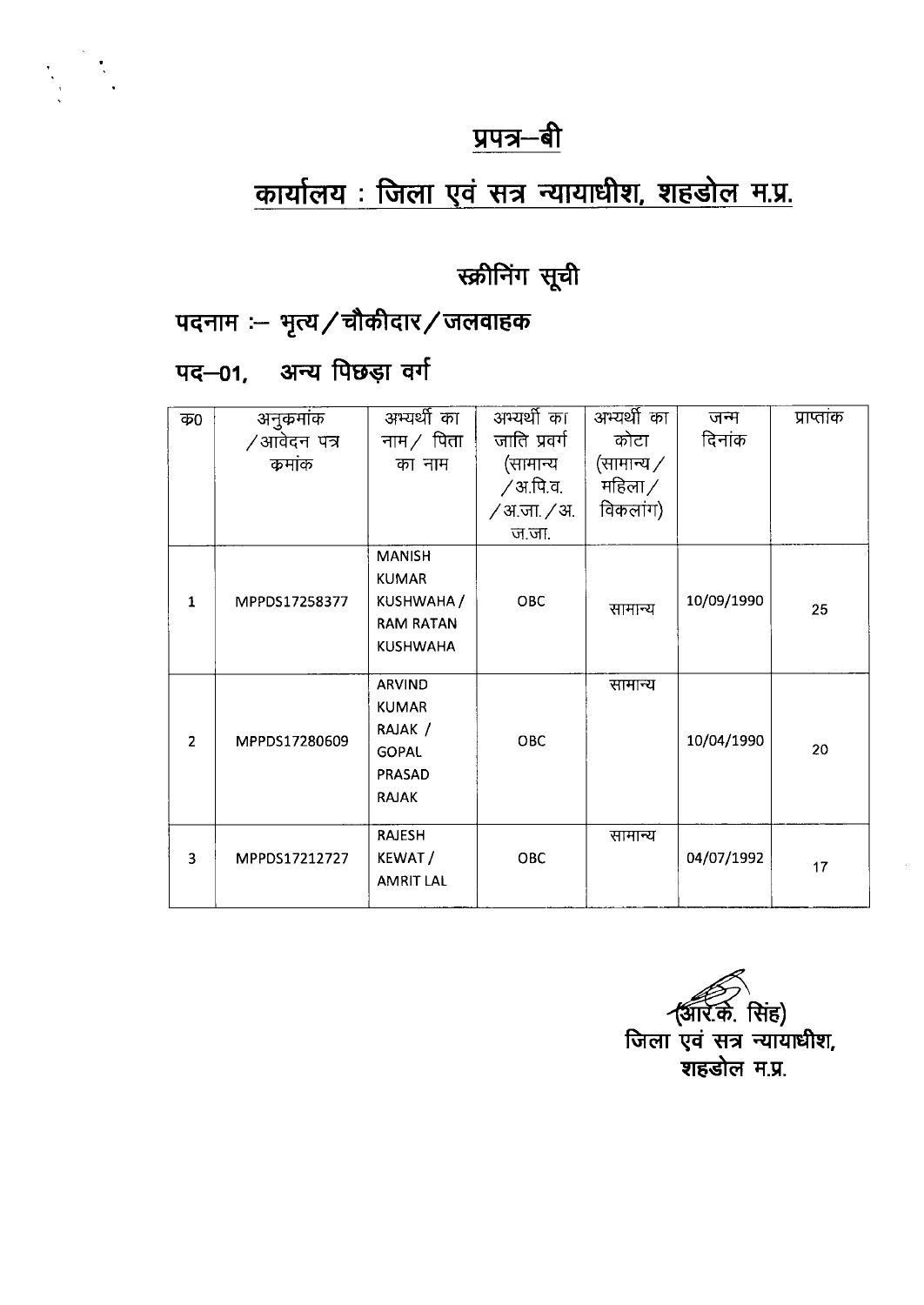## कार्यालय : जिला एवं सत्र न्यायाधीश, शहडोल म.प्र.

#### स्क्रीनिंग सूची

#### पदनाम :-- भृत्य / चौकीदार / जलवाहक

#### पद-01, अन्य पिछड़ा वर्ग

| क0             | अनुक्रमांक    | अभ्यर्थी का                                                                        | अभ्यर्थी का  | अभ्यर्थी का         | जन्म       | प्राप्तांक |
|----------------|---------------|------------------------------------------------------------------------------------|--------------|---------------------|------------|------------|
|                | ∕आवेदन पत्र   | नाम $/$ पिता                                                                       | जाति प्रवर्ग | कोटा                | दिनांक     |            |
|                | कमांक         | का नाम                                                                             | (सामान्य     | (सामान्य $\nearrow$ |            |            |
|                |               |                                                                                    | ∕ अ.पि.व.    | महिला $\angle$      |            |            |
|                |               |                                                                                    | ∕ अ.जा. ∕ अ. | विकलांग)            |            |            |
|                |               |                                                                                    | ज.जा.        |                     |            |            |
| $\mathbf{1}$   | MPPDS17258377 | <b>MANISH</b><br><b>KUMAR</b><br>KUSHWAHA /<br><b>RAM RATAN</b><br><b>KUSHWAHA</b> | <b>OBC</b>   | सामान्य             | 10/09/1990 | 25         |
| $\overline{2}$ | MPPDS17280609 | <b>ARVIND</b><br><b>KUMAR</b><br>RAJAK /<br><b>GOPAL</b><br>PRASAD<br><b>RAJAK</b> | <b>OBC</b>   | सामान्य             | 10/04/1990 | 20         |
| 3              | MPPDS17212727 | <b>RAJESH</b><br>KEWAT/<br><b>AMRIT LAL</b>                                        | OBC          | सामान्य             | 04/07/1992 | 17         |

(ऑर्क सिंह) जिला एवं सत्र न्यायाधीश, शहडोल म.प्र.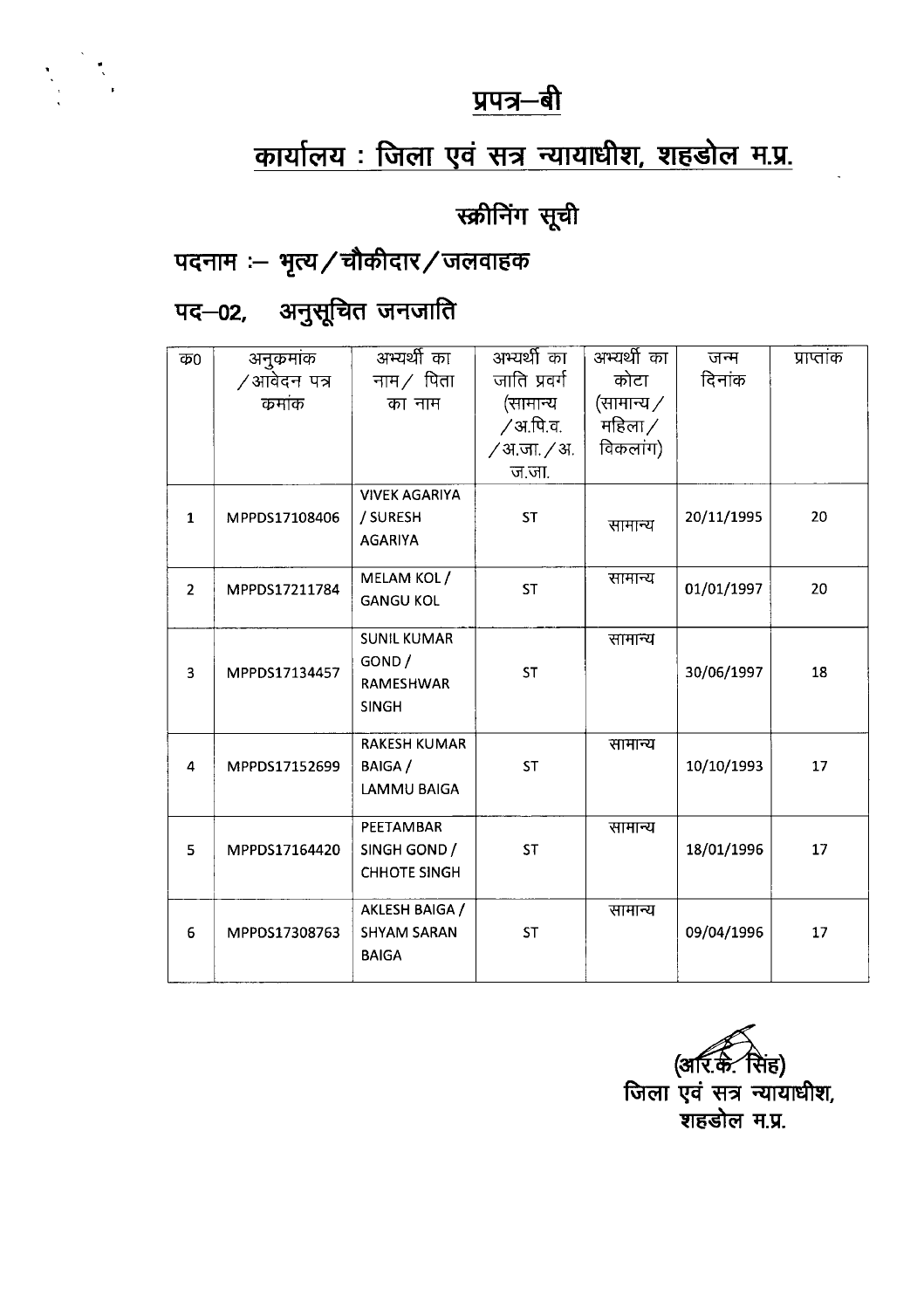### कार्यालय : जिला एवं सत्र न्यायाधीश, शहडोल म.प्र.

### स्क्रीनिंग सूची

#### पदनाम :- भृत्य $/$ चौकीदार $/$ जलवाहक

### पद $-$ 02, अनुसूचित जनजाति

| क0             | अनुक्रमांक    | अभ्यर्थी का          | अभ्यर्थी का  | अभ्यर्थी का              | जन्म       | प्राप्तांक |
|----------------|---------------|----------------------|--------------|--------------------------|------------|------------|
|                | ∕ आवेदन पत्र  | नाम $\angle$ पिता    | जाति प्रवर्ग | कोटा                     | दिनांक     |            |
|                | कमांक         | का नाम               | (सामान्य     | (सामान्य $\,\mathcal{Z}$ |            |            |
|                |               |                      | /अ.पि.व.     | महिला ⁄                  |            |            |
|                |               |                      | /अ.जा./अ.    | विकलांग)                 |            |            |
|                |               |                      | ज.जा.        |                          |            |            |
|                |               | <b>VIVEK AGARIYA</b> |              |                          |            |            |
| $\mathbf{1}$   | MPPDS17108406 | / SURESH             | <b>ST</b>    | सामान्य                  | 20/11/1995 | 20         |
|                |               | <b>AGARIYA</b>       |              |                          |            |            |
|                |               |                      |              |                          |            |            |
| $\overline{2}$ | MPPDS17211784 | MELAM KOL/           | <b>ST</b>    | सामान्य                  | 01/01/1997 | 20         |
|                |               | <b>GANGU KOL</b>     |              |                          |            |            |
|                |               | <b>SUNIL KUMAR</b>   |              | सामान्य                  |            |            |
|                |               | GOND /               |              |                          |            |            |
| 3              | MPPDS17134457 | <b>RAMESHWAR</b>     | <b>ST</b>    |                          | 30/06/1997 | 18         |
|                |               | <b>SINGH</b>         |              |                          |            |            |
|                |               |                      |              |                          |            |            |
|                |               | <b>RAKESH KUMAR</b>  |              | सामान्य                  |            |            |
| 4              | MPPDS17152699 | BAIGA/               | <b>ST</b>    |                          | 10/10/1993 | 17         |
|                |               | <b>LAMMU BAIGA</b>   |              |                          |            |            |
|                |               | PEETAMBAR            |              | सामान्य                  |            |            |
| 5.             | MPPDS17164420 | SINGH GOND /         | <b>ST</b>    |                          | 18/01/1996 | 17         |
|                |               | <b>CHHOTE SINGH</b>  |              |                          |            |            |
|                |               |                      |              |                          |            |            |
|                |               | AKLESH BAIGA /       |              | सामान्य                  |            |            |
| 6              | MPPDS17308763 | <b>SHYAM SARAN</b>   | <b>ST</b>    |                          | 09/04/1996 | 17         |
|                |               | <b>BAIGA</b>         |              |                          |            |            |
|                |               |                      |              |                          |            |            |

(अरि.के. जिला एवं सत्र न्यायाधीश, .<br>शहडोल म.प्र.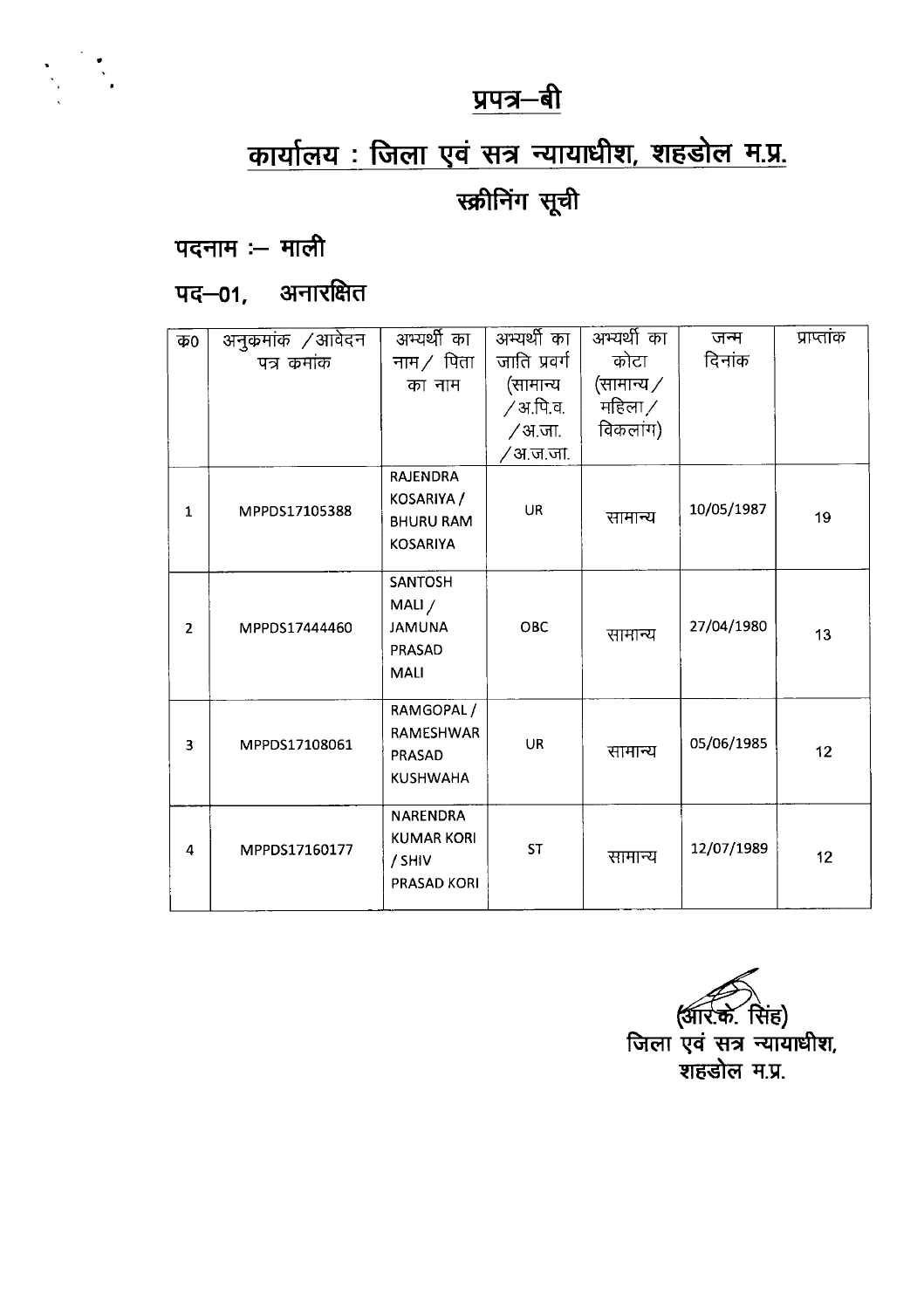#### प्रपत्र-बी

## <u>कार्यालय : जिला एवं सत्र न्यायाधीश, शहडोल म.प्र.</u>

### स्क्रीनिंग सूची

#### पदनाम $:=$  माली

#### $q = -01$ , अनारक्षित

|                  | 74 VI,<br>$\sim$ 11 MMM       |                                                                      |                                                                          |                                                                          |                |            |
|------------------|-------------------------------|----------------------------------------------------------------------|--------------------------------------------------------------------------|--------------------------------------------------------------------------|----------------|------------|
| क0               | अनुकमांक ⁄आवेदन<br>पत्र कमांक | अभ्यर्थी का<br>नाम $\angle$ पिता<br>का नाम                           | अभ्यर्थी का<br>जाति प्रवर्ग<br>(सामान्य<br>/अ.पि.व.<br>/अ.जा.<br>अ.ज.जा. | अभ्यर्थी का<br>कोटा<br>(सामान्य $\nearrow$<br>महिला $\angle$<br>विकलांग) | जन्म<br>दिनांक | प्राप्तांक |
| $\mathbf{1}$     | MPPDS17105388                 | <b>RAJENDRA</b><br>KOSARIYA /<br><b>BHURU RAM</b><br><b>KOSARIYA</b> | <b>UR</b>                                                                | सामान्य                                                                  | 10/05/1987     | 19         |
| $\overline{2}$   | MPPDS17444460                 | SANTOSH<br>MALI /<br><b>JAMUNA</b><br>PRASAD<br><b>MALI</b>          | <b>OBC</b>                                                               | सामान्य                                                                  | 27/04/1980     | 13         |
| 3                | MPPDS17108061                 | RAMGOPAL /<br><b>RAMESHWAR</b><br><b>PRASAD</b><br><b>KUSHWAHA</b>   | <b>UR</b>                                                                | सामान्य                                                                  | 05/06/1985     | 12         |
| $\boldsymbol{4}$ | MPPDS17160177                 | <b>NARENDRA</b><br><b>KUMAR KORI</b><br>/ SHIV<br>PRASAD KORI        | <b>ST</b>                                                                | सामान्य                                                                  | 12/07/1989     | 12         |

(ऑर.के. सिंह)<br>जिला एवं सत्र न्यायाधीश, शहडोल म.प्र.